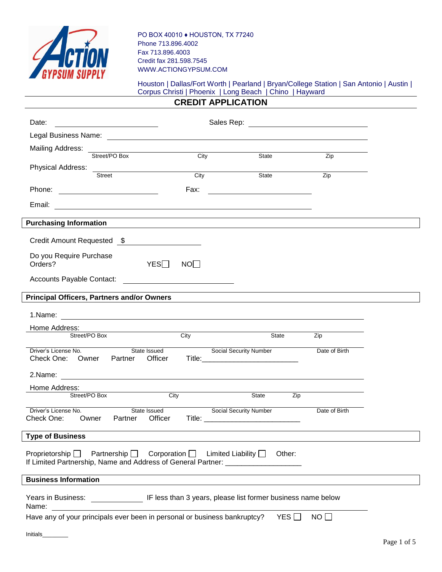

PO BOX 40010 ♦ HOUSTON, TX 77240 Phone 713.896.4002 Fax 713.896.4003 Credit fax 281.598.7545 WWW.ACTIONGYPSUM.COM

## Houston | Dallas/Fort Worth | Pearland | Bryan/College Station | San Antonio | Austin | Corpus Christi | Phoenix | Long Beach | Chino | Hayward

## **CREDIT APPLICATION**

| Date:                                                                     | Sales Rep: The Contract of Texas and Texas and Texas and Texas and Texas and Texas and Texas and Texas and Texas and Texas and Texas and Texas and Texas and Texas and Texas and Texas and Texas and Texas and Texas and Texas<br><u> 1980 - Jan Stein Harry Harry Harry Harry Harry Harry Harry Harry Harry Harry Harry Harry Harry Harry Harry</u> |                                               |      |                                                                                                                                                                          |        |                 |  |
|---------------------------------------------------------------------------|------------------------------------------------------------------------------------------------------------------------------------------------------------------------------------------------------------------------------------------------------------------------------------------------------------------------------------------------------|-----------------------------------------------|------|--------------------------------------------------------------------------------------------------------------------------------------------------------------------------|--------|-----------------|--|
|                                                                           |                                                                                                                                                                                                                                                                                                                                                      |                                               |      |                                                                                                                                                                          |        |                 |  |
| Mailing Address:                                                          |                                                                                                                                                                                                                                                                                                                                                      |                                               |      |                                                                                                                                                                          |        |                 |  |
|                                                                           | Street/PO Box                                                                                                                                                                                                                                                                                                                                        |                                               | City | State                                                                                                                                                                    |        | Zip             |  |
| Physical Address:                                                         | <u> 1989 - Jan Samuel Barbara, margaret e</u><br>Street                                                                                                                                                                                                                                                                                              |                                               |      | City<br>State                                                                                                                                                            |        | Zip             |  |
|                                                                           |                                                                                                                                                                                                                                                                                                                                                      |                                               |      |                                                                                                                                                                          |        |                 |  |
| Phone: <u>________________</u>                                            |                                                                                                                                                                                                                                                                                                                                                      |                                               | Fax: | <u> 1989 - Johann Marie Barn, mars ar breist fan de Fryske kommunent (</u>                                                                                               |        |                 |  |
| Email:                                                                    |                                                                                                                                                                                                                                                                                                                                                      |                                               |      |                                                                                                                                                                          |        |                 |  |
| <b>Purchasing Information</b>                                             |                                                                                                                                                                                                                                                                                                                                                      |                                               |      |                                                                                                                                                                          |        |                 |  |
| Credit Amount Requested \$                                                |                                                                                                                                                                                                                                                                                                                                                      |                                               |      |                                                                                                                                                                          |        |                 |  |
| Do you Require Purchase<br>Orders?                                        |                                                                                                                                                                                                                                                                                                                                                      | YES                                           | NO   |                                                                                                                                                                          |        |                 |  |
| Accounts Payable Contact:                                                 |                                                                                                                                                                                                                                                                                                                                                      | <u> 1980 - Andrea Andrew Maria (h. 1980).</u> |      |                                                                                                                                                                          |        |                 |  |
| <b>Principal Officers, Partners and/or Owners</b>                         |                                                                                                                                                                                                                                                                                                                                                      |                                               |      |                                                                                                                                                                          |        |                 |  |
|                                                                           |                                                                                                                                                                                                                                                                                                                                                      |                                               |      |                                                                                                                                                                          |        |                 |  |
| Home Address:                                                             |                                                                                                                                                                                                                                                                                                                                                      |                                               |      |                                                                                                                                                                          |        |                 |  |
| Street/PO Box                                                             |                                                                                                                                                                                                                                                                                                                                                      |                                               | City |                                                                                                                                                                          | State  | Zip             |  |
| Driver's License No.<br>Check One: Owner                                  | Partner                                                                                                                                                                                                                                                                                                                                              | State Issued<br>Officer                       |      | Social Security Number                                                                                                                                                   |        | Date of Birth   |  |
|                                                                           |                                                                                                                                                                                                                                                                                                                                                      |                                               |      |                                                                                                                                                                          |        |                 |  |
| Home Address:                                                             | <u> 1989 - John Harry Harry Harry Harry Harry Harry Harry Harry Harry Harry Harry Harry Harry Harry Harry Harry</u>                                                                                                                                                                                                                                  |                                               |      |                                                                                                                                                                          |        |                 |  |
| Street/PO Box                                                             |                                                                                                                                                                                                                                                                                                                                                      | City                                          |      | State                                                                                                                                                                    | Zip    |                 |  |
| Driver's License No.<br>Check One:                                        | Partner<br>Owner                                                                                                                                                                                                                                                                                                                                     | State Issued<br>Officer                       |      | <b>Social Security Number</b>                                                                                                                                            |        | Date of Birth   |  |
| <b>Type of Business</b>                                                   |                                                                                                                                                                                                                                                                                                                                                      |                                               |      |                                                                                                                                                                          |        |                 |  |
|                                                                           |                                                                                                                                                                                                                                                                                                                                                      |                                               |      | Proprietorship $\Box$ Partnership $\Box$ Corporation $\Box$ Limited Liability $\Box$<br>If Limited Partnership, Name and Address of General Partner: ___________________ | Other: |                 |  |
| <b>Business Information</b>                                               |                                                                                                                                                                                                                                                                                                                                                      |                                               |      | ,我们也不会有什么。""我们的人,我们也不会有什么?""我们的人,我们也不会有什么?""我们的人,我们也不会有什么?""我们的人,我们也不会有什么?""我们的人                                                                                         |        |                 |  |
|                                                                           |                                                                                                                                                                                                                                                                                                                                                      |                                               |      | Years in Business: _______________________ IF less than 3 years, please list former business name below                                                                  |        |                 |  |
| Have any of your principals ever been in personal or business bankruptcy? |                                                                                                                                                                                                                                                                                                                                                      |                                               |      |                                                                                                                                                                          | YES    | NO <sub>1</sub> |  |
| Initials                                                                  |                                                                                                                                                                                                                                                                                                                                                      |                                               |      |                                                                                                                                                                          |        |                 |  |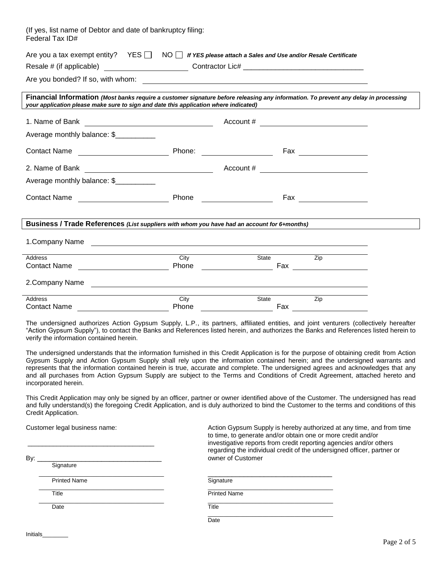| (If yes, list name of Debtor and date of bankruptcy filing:<br>Federal Tax ID#                                                                                                                                                                                                                                            |                                                 |                                             |                       |  |  |  |
|---------------------------------------------------------------------------------------------------------------------------------------------------------------------------------------------------------------------------------------------------------------------------------------------------------------------------|-------------------------------------------------|---------------------------------------------|-----------------------|--|--|--|
| Are you a tax exempt entity? $YES \Box \ NO \Box$ If YES please attach a Sales and Use and/or Resale Certificate                                                                                                                                                                                                          |                                                 |                                             |                       |  |  |  |
| Resale # (if applicable) ______________________________Contractor Lic# ___________________________________                                                                                                                                                                                                                |                                                 |                                             |                       |  |  |  |
|                                                                                                                                                                                                                                                                                                                           |                                                 |                                             |                       |  |  |  |
| Financial Information (Most banks require a customer signature before releasing any information. To prevent any delay in processing<br>your application please make sure to sign and date this application where indicated)                                                                                               |                                                 |                                             |                       |  |  |  |
|                                                                                                                                                                                                                                                                                                                           |                                                 |                                             |                       |  |  |  |
| Average monthly balance: \$                                                                                                                                                                                                                                                                                               |                                                 |                                             |                       |  |  |  |
|                                                                                                                                                                                                                                                                                                                           |                                                 |                                             | $\sqrt{2}$ Fax        |  |  |  |
| 2. Name of Bank                                                                                                                                                                                                                                                                                                           | <u> 1980 - Johann Barnett, fransk politik (</u> | Account # _________________________________ |                       |  |  |  |
| Average monthly balance: \$                                                                                                                                                                                                                                                                                               |                                                 |                                             |                       |  |  |  |
|                                                                                                                                                                                                                                                                                                                           |                                                 |                                             | Fax _________________ |  |  |  |
| Business / Trade References (List suppliers with whom you have had an account for 6+months)                                                                                                                                                                                                                               |                                                 |                                             |                       |  |  |  |
| 1.Company Name                                                                                                                                                                                                                                                                                                            |                                                 |                                             |                       |  |  |  |
| Address                                                                                                                                                                                                                                                                                                                   | City                                            | State Zip                                   |                       |  |  |  |
| Contact Name <b>Contact Name Contact Name Contact Name Contact Name Contact Name</b>                                                                                                                                                                                                                                      |                                                 |                                             |                       |  |  |  |
|                                                                                                                                                                                                                                                                                                                           |                                                 |                                             |                       |  |  |  |
| <b>Address</b>                                                                                                                                                                                                                                                                                                            | City                                            | State                                       | Zip                   |  |  |  |
|                                                                                                                                                                                                                                                                                                                           |                                                 |                                             |                       |  |  |  |
| The undersigned authorizes Action Gypsum Supply, L.P., its partners, affiliated entities, and joint venturers (collectively hereafter<br>"Action Gypsum Supply"), to contact the Banks and References listed herein, and authorizes the Banks and References listed herein to<br>verify the information contained herein. |                                                 |                                             |                       |  |  |  |
| The undersigned understands that the information furnished in this Credit Application is for the purpose of obtaining credit from Action                                                                                                                                                                                  |                                                 |                                             |                       |  |  |  |

The undersigned understands that the information furnished in this Credit Application is for the purpose of obtaining credit from Action Gypsum Supply and Action Gypsum Supply shall rely upon the information contained herein; and the undersigned warrants and represents that the information contained herein is true, accurate and complete. The undersigned agrees and acknowledges that any and all purchases from Action Gypsum Supply are subject to the Terms and Conditions of Credit Agreement, attached hereto and incorporated herein.

This Credit Application may only be signed by an officer, partner or owner identified above of the Customer. The undersigned has read and fully understand(s) the foregoing Credit Application, and is duly authorized to bind the Customer to the terms and conditions of this Credit Application.

| Customer legal business name: |                     | Action Gypsum Supply is hereby authorized at any time, and from time<br>to time, to generate and/or obtain one or more credit and/or<br>investigative reports from credit reporting agencies and/or others<br>regarding the individual credit of the undersigned officer, partner or<br>owner of Customer |  |  |  |  |
|-------------------------------|---------------------|-----------------------------------------------------------------------------------------------------------------------------------------------------------------------------------------------------------------------------------------------------------------------------------------------------------|--|--|--|--|
| By:                           |                     |                                                                                                                                                                                                                                                                                                           |  |  |  |  |
|                               | Signature           |                                                                                                                                                                                                                                                                                                           |  |  |  |  |
|                               | <b>Printed Name</b> | Signature                                                                                                                                                                                                                                                                                                 |  |  |  |  |
|                               | Title               | <b>Printed Name</b>                                                                                                                                                                                                                                                                                       |  |  |  |  |
|                               | Date                | Title                                                                                                                                                                                                                                                                                                     |  |  |  |  |
|                               |                     | Date                                                                                                                                                                                                                                                                                                      |  |  |  |  |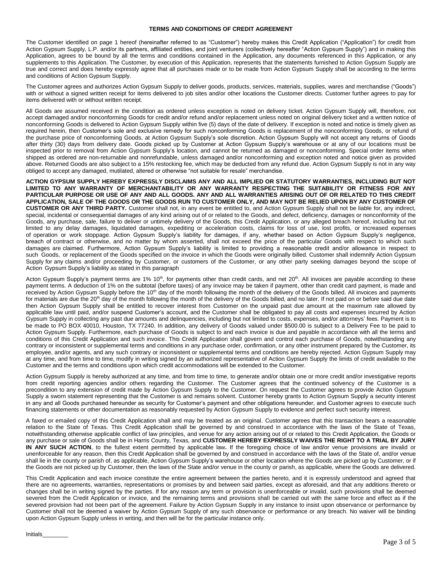## **TERMS AND CONDITIONS OF CREDIT AGREEMENT**

The Customer identified on page 1 hereof (hereinafter referred to as "Customer") hereby makes this Credit Application ("Application") for credit from Action Gypsum Supply, L.P. and/or its partners, affiliated entities, and joint venturers (collectively hereafter "Action Gypsum Supply") and in making this Application, agrees to be bound by all the terms and conditions contained in the Application, any documents referenced in this Application, or any supplements to this Application. The Customer, by execution of this Application, represents that the statements furnished to Action Gypsum Supply are true and correct and does hereby expressly agree that all purchases made or to be made from Action Gypsum Supply shall be according to the terms and conditions of Action Gypsum Supply.

The Customer agrees and authorizes Action Gypsum Supply to deliver goods, products, services, materials, supplies, wares and merchandise ("Goods") with or without a signed written receipt for items delivered to job sites and/or other locations the Customer directs. Customer further agrees to pay for items delivered with or without written receipt.

All Goods are assumed received in the condition as ordered unless exception is noted on delivery ticket. Action Gypsum Supply will, therefore, not accept damaged and/or nonconforming Goods for credit and/or refund and/or replacement unless noted on original delivery ticket and a written notice of nonconforming Goods is delivered to Action Gypsum Supply within five (5) days of the date of delivery. If exception is noted and notice is timely given as required herein, then Customer's sole and exclusive remedy for such nonconforming Goods is replacement of the nonconforming Goods, or refund of the purchase price of nonconforming Goods, at Action Gypsum Supply's sole discretion. Action Gypsum Supply will not accept any returns of Goods after thirty (30) days from delivery date. Goods picked up by Customer at Action Gypsum Supply's warehouse or at any of our locations must be inspected prior to removal from Action Gypsum Supply's location, and cannot be returned as damaged or nonconforming. Special order items when shipped as ordered are non-returnable and nonrefundable, unless damaged and/or nonconforming and exception noted and notice given as provided above. Returned Goods are also subject to a 15% restocking fee, which may be deducted from any refund due. Action Gypsum Supply is not in any way obliged to accept any damaged, mutilated, altered or otherwise "not suitable for resale" merchandise.

**ACTION GYPSUM SUPPLY HEREBY EXPRESSLY DISCLAIMS ANY AND ALL IMPLIED OR STATUTORY WARRANTIES, INCLUDING BUT NOT LIMITED TO ANY WARRANTY OF MERCHANTABILITY OR ANY WARRANTY RESPECTING THE SUITABILITY OR FITNESS FOR ANY PARTICULAR PURPOSE OR USE OF ANY AND ALL GOODS. ANY AND ALL WARRANTIES ARISING OUT OF OR RELATED TO THIS CREDIT APPLICATION, SALE OF THE GOODS OR THE GOODS RUN TO CUSTOMER ONLY, AND MAY NOT BE RELIED UPON BY ANY CUSTOMER OF CUSTOMER OR ANY THIRD PARTY.** Customer shall not, in any event be entitled to, and Action Gypsum Supply shall not be liable for, any indirect, special, incidental or consequential damages of any kind arising out of or related to the Goods, and defect, deficiency, damages or nonconformity of the Goods, any purchase, sale, failure to deliver or untimely delivery of the Goods, this Credit Application, or any alleged breach hereof, including but not limited to any delay damages, liquidated damages, expediting or acceleration costs, claims for loss of use, lost profits, or increased expenses of operation or work stoppage. Action Gypsum Supply's liability for damages, if any, whether based on Action Gypsum Supply's negligence, breach of contract or otherwise, and no matter by whom asserted, shall not exceed the price of the particular Goods with respect to which such damages are claimed. Furthermore, Action Gypsum Supply's liability is limited to providing a reasonable credit and/or allowance in respect to such Goods, or replacement of the Goods specified on the invoice in which the Goods were originally billed. Customer shall indemnify Action Gypsum Supply for any claims and/or proceeding by Customer, or customers of the Customer, or any other party seeking damages beyond the scope of Action Gypsum Supply's liability as stated in this paragraph

Acton Gypsum Supply's payment terms are 1% 10<sup>th</sup>, for payments other than credit cards, and net 20<sup>th</sup>. All invoices are payable according to these payment terms. A deduction of 1% on the subtotal (before taxes) of any invoice may be taken if payment, other than credit card payment, is made and received by Action Gypsum Supply before the 10<sup>th</sup> day of the month following the month of the delivery of the Goods billed. All invoices and payments for materials are due the 20<sup>th</sup> day of the month following the month of the delivery of the Goods billed, and no later. If not paid on or before said due date then Action Gypsum Supply shall be entitled to recover interest from Customer on the unpaid past due amount at the maximum rate allowed by applicable law until paid, and/or suspend Customer's account, and the Customer shall be obligated to pay all costs and expenses incurred by Action Gypsum Supply in collecting any past due amounts and delinquencies, including but not limited to costs, expenses, and/or attorneys' fees. Payment is to be made to PO BOX 40010, Houston, TX 77240. In addition, any delivery of Goods valued under \$500.00 is subject to a Delivery Fee to be paid to Action Gypsum Supply. Furthermore, each purchase of Goods is subject to and each invoice is due and payable in accordance with all the terms and conditions of this Credit Application and such invoice. This Credit Application shall govern and control each purchase of Goods, notwithstanding any contrary or inconsistent or supplemental terms and conditions in any purchase order, confirmation, or any other instrument prepared by the Customer, its employee, and/or agents, and any such contrary or inconsistent or supplemental terms and conditions are hereby rejected. Action Gypsum Supply may at any time, and from time to time, modify in writing signed by an authorized representative of Action Gypsum Supply the limits of credit available to the Customer and the terms and conditions upon which credit accommodations will be extended to the Customer.

Action Gypsum Supply is hereby authorized at any time, and from time to time, to generate and/or obtain one or more credit and/or investigative reports from credit reporting agencies and/or others regarding the Customer. The Customer agrees that the continued solvency of the Customer is a precondition to any extension of credit made by Action Gypsum Supply to the Customer. On request the Customer agrees to provide Action Gypsum Supply a sworn statement representing that the Customer is and remains solvent. Customer hereby grants to Action Gypsum Supply a security interest in any and all Goods purchased hereunder as security for Customer's payment and other obligations hereunder, and Customer agrees to execute such financing statements or other documentation as reasonably requested by Action Gypsum Supply to evidence and perfect such security interest.

A faxed or emailed copy of this Credit Application shall and may be treated as an original. Customer agrees that this transaction bears a reasonable relation to the State of Texas. This Credit Application shall be governed by and construed in accordance with the laws of the State of Texas, notwithstanding otherwise applicable conflict of law principles, and venue for any action arising out of or related to this Credit Application, the Goods or any purchase or sale of Goods shall be in Harris County, Texas, and **CUSTOMER HEREBY EXPRESSLY WAIVES THE RIGHT TO A TRIAL BY JURY IN ANY SUCH ACTION**, to the fullest extent permitted by applicable law**.** If the foregoing choice of law and/or venue provisions are invalid or unenforceable for any reason, then this Credit Application shall be governed by and construed in accordance with the laws of the State of, and/or venue shall lie in the county or parish of, as applicable, Action Gypsum Supply's warehouse or other location where the Goods are picked up by Customer, or if the Goods are not picked up by Customer, then the laws of the State and/or venue in the county or parish, as applicable, where the Goods are delivered.

This Credit Application and each invoice constitute the entire agreement between the parties hereto, and it is expressly understood and agreed that there are no agreements, warranties, representations or promises by and between said parties, except as aforesaid, and that any additions thereto or changes shall be in writing signed by the parties. If for any reason any term or provision is unenforceable or invalid, such provisions shall be deemed severed from the Credit Application or invoice, and the remaining terms and provisions shall be carried out with the same force and effect as if the severed provision had not been part of the agreement. Failure by Action Gypsum Supply in any instance to insist upon observance or performance by Customer shall not be deemed a waiver by Action Gypsum Supply of any such observance or performance or any breach. No waiver will be binding upon Action Gypsum Supply unless in writing, and then will be for the particular instance only.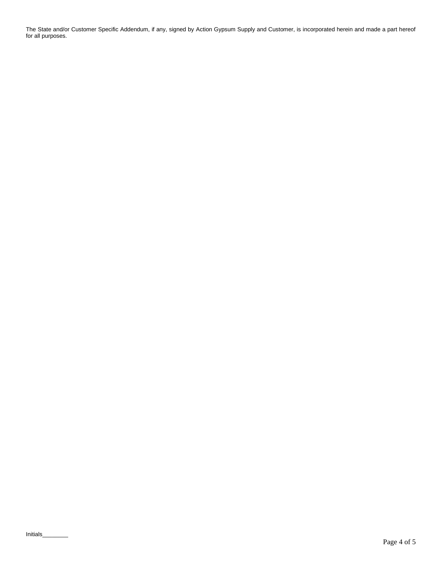The State and/or Customer Specific Addendum, if any, signed by Action Gypsum Supply and Customer, is incorporated herein and made a part hereof for all purposes.